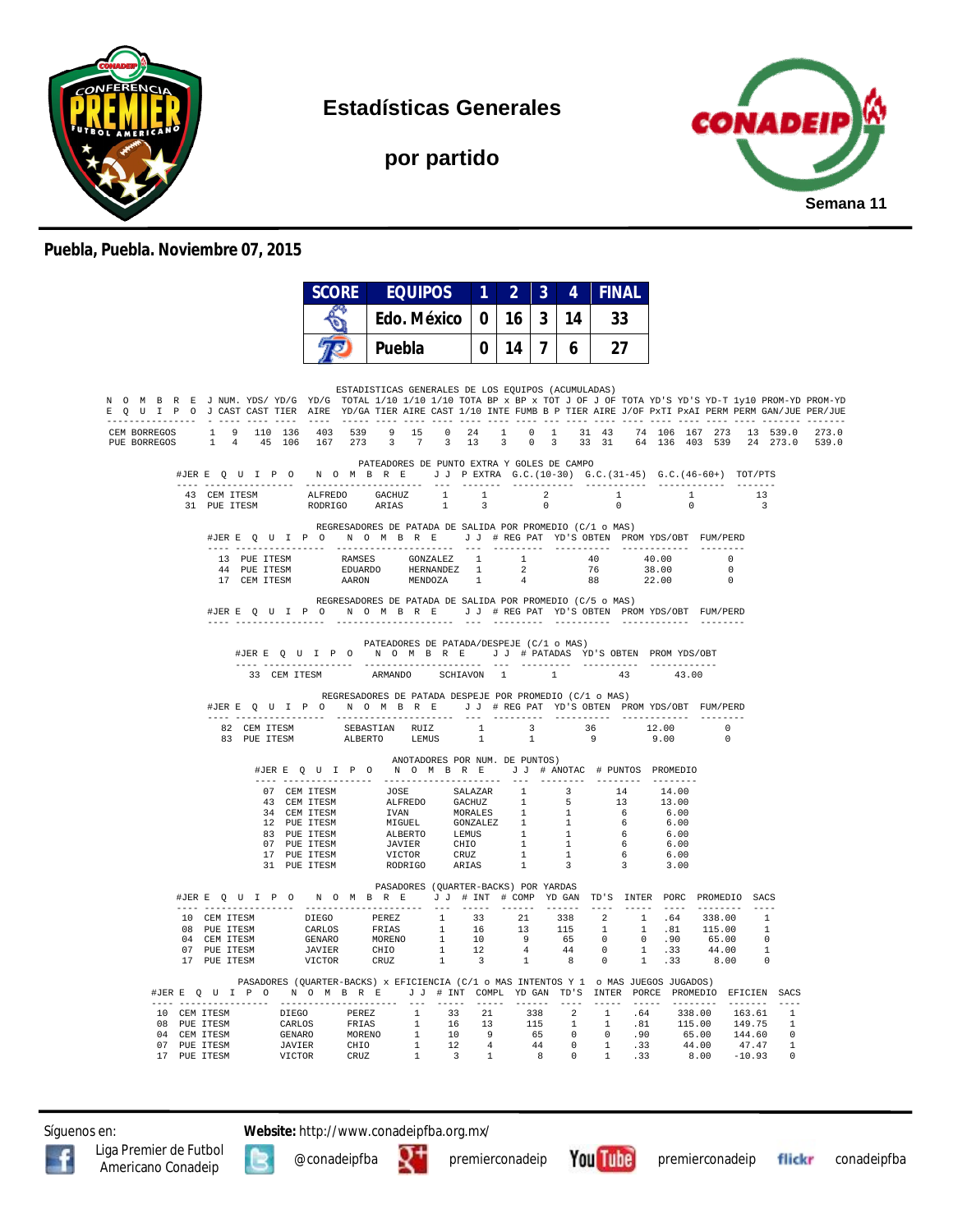

**Estadísticas Generales**

**por partido**



## **Puebla, Puebla. Noviembre 07, 2015**

|  |                                                                                                                                                                                                                                                                                                                                                                  | <b>SCORE</b><br><b>EQUIPOS</b>                                                                                                                                                                                                           |                                | $\blacksquare$ 1 | $\overline{2}$  | $\overline{\mathbf{3}}$ | $\overline{4}$ | <b>FINAL</b> |       |                |                                                                  |                               |                       |
|--|------------------------------------------------------------------------------------------------------------------------------------------------------------------------------------------------------------------------------------------------------------------------------------------------------------------------------------------------------------------|------------------------------------------------------------------------------------------------------------------------------------------------------------------------------------------------------------------------------------------|--------------------------------|------------------|-----------------|-------------------------|----------------|--------------|-------|----------------|------------------------------------------------------------------|-------------------------------|-----------------------|
|  |                                                                                                                                                                                                                                                                                                                                                                  | Edo. México                                                                                                                                                                                                                              |                                |                  | 0 <sup>16</sup> | $\mathbf{3}$            | 14             | 33           |       |                |                                                                  |                               |                       |
|  |                                                                                                                                                                                                                                                                                                                                                                  | Puebla                                                                                                                                                                                                                                   |                                | 0 I              | 14 I            | $\overline{7}$          | 6              | 27           |       |                |                                                                  |                               |                       |
|  |                                                                                                                                                                                                                                                                                                                                                                  | ESTADISTICAS GENERALES DE LOS EQUIPOS (ACUMULADAS)                                                                                                                                                                                       |                                |                  |                 |                         |                |              |       |                |                                                                  |                               |                       |
|  | N O M B R E J NUM. YDS/YD/G YD/G TOTAL 1/10 1/10 1/10 TOTA BP x BP x TOT J OF J OF TOTA YD'S YD-T 1y10 PROM-YD PROM-YD<br>E Q U I P O J CAST CAST TIER AIRE YD/GA TIER AIRE CAST 1/10 INTE FUMB B P TIER AIRE J/OF PxTI PxAI PERM PERM GAN/JUE PER/JUE                                                                                                           |                                                                                                                                                                                                                                          |                                |                  |                 |                         |                |              |       |                |                                                                  |                               |                       |
|  | CEM BORREGOS 1 9 110 136 403 539 9 15 0 24 1 0 1 31 43 74 106 167 273 13 539.0 273.0<br>PUE BORREGOS 1 4 45 106 167 273 3 7 3 13 3 0 3 33 31 64 136 403 539 24 273.0 539.0                                                                                                                                                                                       |                                                                                                                                                                                                                                          |                                |                  |                 |                         |                |              |       |                |                                                                  |                               |                       |
|  | #JERE Q U I P O N O M B R E J J PEXTRA G.C. (10-30) G.C. (31-45) G.C. (46-60+) TOT/PTS                                                                                                                                                                                                                                                                           | PATEADORES DE PUNTO EXTRA Y GOLES DE CAMPO                                                                                                                                                                                               |                                |                  |                 |                         |                |              |       |                |                                                                  |                               |                       |
|  | $\begin{tabular}{cccccc} 43 & CEM TTESM & ALFREDO & GACHUZ & 1 & 1 & 2 & 1 \\ 31 & PUE TTESM & RODRIGO & ARIAS & 1 & 3 & 0 & 0 \\ \end{tabular}$                                                                                                                                                                                                                 |                                                                                                                                                                                                                                          |                                |                  |                 |                         |                |              |       | $\overline{0}$ | $\mathbf{1}$ , and $\mathbf{1}$                                  | 13<br>$\overline{\mathbf{3}}$ |                       |
|  | #JERE QUIPON OMBRE JJ #REGPAT YD'S OBTEN PROMYDS/OBT FUM/PERD                                                                                                                                                                                                                                                                                                    | REGRESADORES DE PATADA DE SALIDA POR PROMEDIO (C/1 o MAS)                                                                                                                                                                                |                                |                  |                 |                         |                |              |       |                |                                                                  |                               |                       |
|  | 17 CEM ITESM                                                                                                                                                                                                                                                                                                                                                     | ${\tt AARON} \qquad \qquad {\tt MENDOZA} \qquad \quad 1$                                                                                                                                                                                 |                                |                  | 4               |                         |                | 88           |       | 22.00          | $\sim$ 0<br>$\overline{\phantom{0}}$<br>$\overline{\phantom{0}}$ |                               |                       |
|  | #JERE Q U I P O N O M B R E J J # REG PAT YD'S OBTEN PROMYDS/OBT FUM/PERD                                                                                                                                                                                                                                                                                        | REGRESADORES DE PATADA DE SALIDA POR PROMEDIO (C/5 o MAS)                                                                                                                                                                                |                                |                  |                 |                         |                |              |       |                |                                                                  |                               |                       |
|  |                                                                                                                                                                                                                                                                                                                                                                  | PATEADORES DE PATADA/DESPEJE (C/1 o MAS)<br>#JERE QUIPO NOMBRE JJ # PATADAS YD'S OBTEN PROMYDS/OBT                                                                                                                                       |                                |                  |                 |                         |                |              |       |                |                                                                  |                               |                       |
|  | 33 CEM ITESM                                                                                                                                                                                                                                                                                                                                                     | ARMANDO SCHIAVON 1 1                                                                                                                                                                                                                     |                                |                  |                 |                         |                | 43           |       | 43.00          |                                                                  |                               |                       |
|  | #JERE QUIPON OMBRE JJ #REGPAT YD'S OBTEN PROMYDS/OBT FUM/PERD                                                                                                                                                                                                                                                                                                    | REGRESADORES DE PATADA DESPEJE POR PROMEDIO (C/1 o MAS)                                                                                                                                                                                  |                                |                  |                 |                         |                |              |       |                |                                                                  |                               |                       |
|  | $\begin{tabular}{lcccccc} 82 & CEM TTESM & SEBASTIAN & RUIZ & & 1 & & 3 & & 36 \\ 83 & PUE TTESM & & ALBERTO & LEMUS & & 1 & & 1 & & 9 \\ \end{tabular}$                                                                                                                                                                                                         |                                                                                                                                                                                                                                          |                                |                  |                 |                         |                |              | 12.00 | 9.00           | $\Omega$<br>$\Omega$                                             |                               |                       |
|  |                                                                                                                                                                                                                                                                                                                                                                  | #JERE Q U I P O N O M B R E J J # ANOTAC # PUNTOS PROMEDIO                                                                                                                                                                               | ANOTADORES POR NUM. DE PUNTOS) |                  |                 |                         |                |              |       |                |                                                                  |                               |                       |
|  |                                                                                                                                                                                                                                                                                                                                                                  |                                                                                                                                                                                                                                          |                                |                  |                 |                         |                |              |       |                |                                                                  |                               |                       |
|  |                                                                                                                                                                                                                                                                                                                                                                  |                                                                                                                                                                                                                                          |                                |                  |                 |                         |                |              |       |                |                                                                  |                               |                       |
|  |                                                                                                                                                                                                                                                                                                                                                                  |                                                                                                                                                                                                                                          |                                |                  |                 |                         |                |              |       |                |                                                                  |                               |                       |
|  |                                                                                                                                                                                                                                                                                                                                                                  |                                                                                                                                                                                                                                          |                                |                  |                 |                         |                |              |       |                |                                                                  |                               |                       |
|  |                                                                                                                                                                                                                                                                                                                                                                  | 07 CEM ITESM 30SE SALAZAR 1 3 14 14.00<br>43 CEM ITESM 30SE SALAZAR 1 3 14 14.00<br>43 CEM ITESM IVAN MORALES 1 5 13 13.00<br>12 PUE ITESM MIGUEL GONZALEZ 1 1 6 6.00<br>83 PUE ITESM ALBERTO LEMIS 1 1 6 6.00<br>87 PUE ITESM JAVIER CH |                                |                  |                 |                         |                |              |       |                |                                                                  |                               |                       |
|  |                                                                                                                                                                                                                                                                                                                                                                  | PASADORES (OUARTER-BACKS) POR YARDAS                                                                                                                                                                                                     |                                |                  |                 |                         |                |              |       |                |                                                                  |                               |                       |
|  | #JERE Q U I P O N O M B R E J J # INT # COMP YD GAN TD'S INTER PORC PROMEDIO SACS                                                                                                                                                                                                                                                                                |                                                                                                                                                                                                                                          |                                |                  |                 |                         |                |              |       |                |                                                                  |                               |                       |
|  |                                                                                                                                                                                                                                                                                                                                                                  |                                                                                                                                                                                                                                          |                                |                  |                 |                         |                |              |       |                |                                                                  |                               |                       |
|  |                                                                                                                                                                                                                                                                                                                                                                  |                                                                                                                                                                                                                                          |                                |                  |                 |                         |                |              |       |                |                                                                  |                               |                       |
|  | $\begin{tabular}{cccccccc} 10 & CEM TTESM & & DIEGO & PEREZ & & 1 & 33 & 21 & 338 & 2 & 1 & .64 & 338.00 & 1 \\ 08 & PUE TTESM & & CARLOS & FRIAS & & 1 & 16 & 13 & 115 & 1 & 1 & .81 & 115.00 & 1 \\ 04 & CEM TTESM & & GERNARO & & MORENO & & 1 & 10 & 9 & 65 & 0 & 0 & .90 & 65.00 & 0 \\ 07 & PUE TTESM & & JAVIER & CHIO & & 1 & 12 & 4 & 44 & 0 & 1 & .33$ |                                                                                                                                                                                                                                          |                                |                  |                 |                         |                |              |       |                |                                                                  |                               |                       |
|  | #JERE Q U I P O N O M B R E J J # INT COMPL YDGAN TD'S INTER PORCE PROMEDIO EFICIEN SACS                                                                                                                                                                                                                                                                         | PASADORES (QUARTER-BACKS) x EFICIENCIA (C/1 o MAS INTENTOS Y 1 o MAS JUEGOS JUGADOS)                                                                                                                                                     |                                |                  |                 |                         |                |              |       |                |                                                                  |                               |                       |
|  | ---- -----------------<br>10 CEM ITESM DIEGO PEREZ 1 33 21 338 2 1 .64 338.00<br>08 PUE ITESM GRILOS FRIAS 1 16 13 115 1 1 .81 115.00<br>04 CEM ITESM GENARO MOREMO 1 10 9 65 0 0 .90 65.00<br>07 PUE ITESM JAVIER CHIO 1 12 4 44 0 1 .33 44.00<br>17 PUE ITESM                                                                                                  |                                                                                                                                                                                                                                          |                                |                  |                 |                         |                |              |       |                |                                                                  | 163.61                        | $- - - -$<br><b>1</b> |
|  |                                                                                                                                                                                                                                                                                                                                                                  |                                                                                                                                                                                                                                          |                                |                  |                 |                         |                |              |       |                |                                                                  | 149.75                        | -1                    |
|  |                                                                                                                                                                                                                                                                                                                                                                  |                                                                                                                                                                                                                                          |                                |                  |                 |                         |                |              |       |                |                                                                  | 144.60<br>47.47               | $\overline{1}$        |
|  |                                                                                                                                                                                                                                                                                                                                                                  |                                                                                                                                                                                                                                          |                                |                  |                 |                         |                |              |       |                |                                                                  | $-10.93$                      |                       |

Síguenos en: **Website:** http://www.conadeipfba.org.mx/





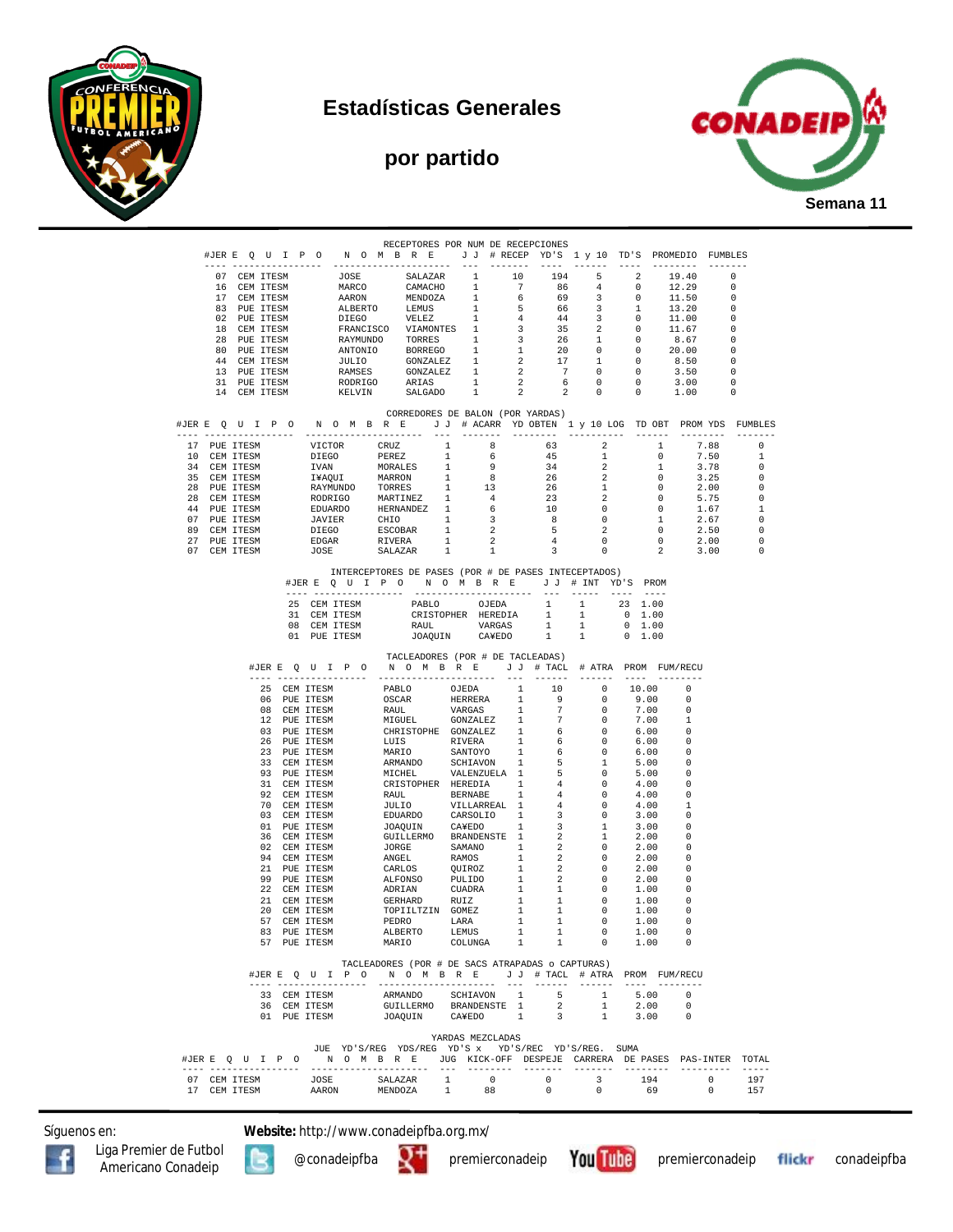







|  |                              |              |               |              | RECEPTORES POR NUM DE RECEPCIONES                                                                                                                                                                                                         |                  |    |                                            |                                     |                          |                                                                                                 |                          |               |
|--|------------------------------|--------------|---------------|--------------|-------------------------------------------------------------------------------------------------------------------------------------------------------------------------------------------------------------------------------------------|------------------|----|--------------------------------------------|-------------------------------------|--------------------------|-------------------------------------------------------------------------------------------------|--------------------------|---------------|
|  |                              |              |               |              | #JERE QUIPONOMBRE JJ #RECEPYD'S 1 y 10 TD'S PROMEDIO FUMBLES                                                                                                                                                                              |                  |    |                                            |                                     |                          |                                                                                                 |                          |               |
|  |                              |              |               |              |                                                                                                                                                                                                                                           |                  |    |                                            |                                     |                          |                                                                                                 |                          |               |
|  | 07 CEM ITESM                 |              |               |              |                                                                                                                                                                                                                                           |                  |    | 194                                        | $\frac{5}{4}$                       | $\overline{\phantom{a}}$ | 19.40                                                                                           | $\overline{\phantom{0}}$ |               |
|  |                              | 16 CEM ITESM |               |              |                                                                                                                                                                                                                                           |                  |    | 86                                         |                                     | $\overline{\phantom{0}}$ | 12.29                                                                                           | $\overline{\phantom{0}}$ |               |
|  |                              | 17 CEM ITESM |               |              |                                                                                                                                                                                                                                           |                  |    | 69                                         | $\overline{\mathbf{3}}$             | $\sim$ 0                 | 11.50                                                                                           | - 0                      |               |
|  |                              | 83 PUE ITESM |               |              |                                                                                                                                                                                                                                           |                  |    | 66                                         | $\overline{\mathbf{3}}$             | $\mathbf{1}$             | 13.20                                                                                           | $\overline{\phantom{0}}$ |               |
|  |                              | 02 PUE ITESM |               |              |                                                                                                                                                                                                                                           |                  |    | 44                                         | $\overline{\mathbf{3}}$             | $\overline{0}$           | 11.00                                                                                           | $\overline{\phantom{0}}$ |               |
|  |                              | 18 CEM ITESM |               |              |                                                                                                                                                                                                                                           |                  |    | 35                                         | $\overline{\mathbf{2}}$             | $\overline{0}$           | 11.67                                                                                           | $\overline{\phantom{0}}$ |               |
|  |                              | 28 PUE ITESM |               |              |                                                                                                                                                                                                                                           |                  |    | 26                                         | 1                                   | $\overline{\phantom{0}}$ | 8.67                                                                                            | $\overline{\phantom{0}}$ |               |
|  |                              | 80 PUE ITESM |               |              |                                                                                                                                                                                                                                           |                  |    |                                            |                                     |                          | 20.00                                                                                           | $\overline{\phantom{0}}$ |               |
|  |                              | 44 CEM ITESM |               |              | ANTONIO BORREGO 1 1 20 0 0<br>JULIO GONZALEZ 1 2 17 1 0<br>RAMSES GONZALEZ 1 2 7 0 0<br>RODRIGO ARIAS 1 2 6 0 0<br>KELVIN SALGADO 1 2 2 0 0                                                                                               |                  |    |                                            |                                     |                          | 8.50                                                                                            | $\overline{\phantom{0}}$ |               |
|  |                              | 13 PUE ITESM |               |              |                                                                                                                                                                                                                                           |                  |    |                                            |                                     | $\overline{\phantom{0}}$ | 3.50                                                                                            | $\overline{\phantom{0}}$ |               |
|  |                              | 31 PUE ITESM |               |              |                                                                                                                                                                                                                                           |                  |    |                                            |                                     | $\overline{0}$           | 3.00                                                                                            | $\overline{\phantom{0}}$ |               |
|  |                              | 14 CEM ITESM |               |              |                                                                                                                                                                                                                                           |                  |    |                                            |                                     |                          | 1.00                                                                                            | $\overline{\phantom{0}}$ |               |
|  |                              |              |               |              |                                                                                                                                                                                                                                           |                  |    |                                            |                                     |                          |                                                                                                 |                          |               |
|  |                              |              |               |              | CORREDORES DE BALON (POR YARDAS)                                                                                                                                                                                                          |                  |    |                                            |                                     |                          |                                                                                                 |                          |               |
|  |                              |              |               |              | #JERE QUIPO NOMBRE JJ # ACARR YDOBTEN 1 y 10 LOG TDOBT PROMYDS FUMBLES                                                                                                                                                                    |                  |    |                                            |                                     |                          |                                                                                                 |                          |               |
|  |                              |              |               |              |                                                                                                                                                                                                                                           |                  |    |                                            |                                     |                          |                                                                                                 |                          |               |
|  |                              |              |               |              |                                                                                                                                                                                                                                           |                  |    | $\frac{63}{45}$                            | $\overline{\phantom{a}}$ 2 1        |                          |                                                                                                 | 7.88                     | $\Omega$      |
|  |                              |              |               |              |                                                                                                                                                                                                                                           |                  |    |                                            | 1                                   |                          | $\overline{\phantom{0}}$                                                                        | 7.50                     | $\mathbf{1}$  |
|  |                              |              |               |              |                                                                                                                                                                                                                                           |                  |    | $\frac{34}{26}$                            | $\overline{2}$                      |                          | $\mathbf{1}$                                                                                    | 3.78                     | 0             |
|  |                              |              |               |              |                                                                                                                                                                                                                                           |                  |    |                                            | $\overline{2}$                      |                          | $\overline{0}$                                                                                  | $3.25$<br>$2.00$         | 0             |
|  |                              |              |               |              |                                                                                                                                                                                                                                           |                  |    |                                            | 1                                   |                          | $\overline{\phantom{0}}$                                                                        |                          | 0             |
|  |                              |              |               |              |                                                                                                                                                                                                                                           |                  |    | $\begin{array}{c} 23 \\ 10 \end{array}$    | $\overline{2}$                      |                          | $\overline{0}$                                                                                  | 5.75                     | 0             |
|  |                              |              |               |              |                                                                                                                                                                                                                                           |                  |    |                                            | $\overline{0}$                      |                          | $\overline{0}$                                                                                  | 1.67                     | 1             |
|  |                              |              |               |              |                                                                                                                                                                                                                                           |                  |    | 8                                          |                                     |                          |                                                                                                 |                          | 0             |
|  |                              |              |               |              |                                                                                                                                                                                                                                           |                  |    |                                            |                                     |                          |                                                                                                 |                          | 0             |
|  |                              |              |               |              |                                                                                                                                                                                                                                           |                  |    | $\begin{array}{c} 5 \\ 4 \\ 3 \end{array}$ |                                     |                          | $\begin{array}{cccc} 0 & 0 & 1 & 1.67 \ 2 & 0 & 2.50 \ 0 & 0 & 2.00 \ 0 & 2 & 3.00 \end{array}$ |                          | 0<br>$\Omega$ |
|  |                              |              |               |              | 17 PUE ITESM VICTOR CRUZ 1 8<br>10 CEM ITESM VICTOR CRUZ 1 8<br>34 CEM ITESM IVAN MORALES 1 9<br>35 CEM ITESM IVAN MORALES 1 9<br>28 PUE ITESM INAQUI MARRON 1 8<br>28 PUE ITESM RAYMUNDO MARTINEZ 1 4<br>44 PUE ITESM EDUARDO HERNADEZ 1 |                  |    |                                            |                                     |                          |                                                                                                 |                          |               |
|  |                              |              |               |              | INTERCEPTORES DE PASES (POR # DE PASES INTECEPTADOS)                                                                                                                                                                                      |                  |    |                                            |                                     |                          |                                                                                                 |                          |               |
|  |                              |              |               |              | #JERE QUIPONOMBRE JJ # INT YD'S PROM                                                                                                                                                                                                      |                  |    |                                            |                                     |                          |                                                                                                 |                          |               |
|  |                              |              |               |              |                                                                                                                                                                                                                                           |                  |    |                                            |                                     | $-- - -$                 |                                                                                                 |                          |               |
|  |                              |              |               |              |                                                                                                                                                                                                                                           |                  |    |                                            |                                     |                          |                                                                                                 |                          |               |
|  |                              |              |               |              | $\begin{tabular}{lcccccc} 25 & CEM ITESM & & & & & \text{PABLO} & & & \text{OJEDA} & & 1 & & 1 & & 23 & 1.00 \\ 31 & CEM ITESM & & & & & & \text{CRISTOPHER HEREDIA} & & 1 & & 1 & & 0 & 1.00 \\ \end{tabular}$                           |                  |    |                                            |                                     |                          |                                                                                                 |                          |               |
|  |                              |              |               | 08 CEM ITESM |                                                                                                                                                                                                                                           |                  |    | 1                                          |                                     | $0 \quad 1.00$           |                                                                                                 |                          |               |
|  |                              |              |               | 01 PUE ITESM | RAUL VARGAS 1 1 0 1.00<br>JOAQUIN CA¥EDO 1 1 0 1.00                                                                                                                                                                                       |                  |    |                                            |                                     |                          |                                                                                                 |                          |               |
|  |                              |              |               |              |                                                                                                                                                                                                                                           |                  |    |                                            |                                     |                          |                                                                                                 |                          |               |
|  |                              |              |               |              | TACLEADORES (POR # DE TACLEADAS)                                                                                                                                                                                                          |                  |    |                                            |                                     |                          |                                                                                                 |                          |               |
|  |                              |              |               |              | #JERE QUIPO NOMBRE JJ # TACL # ATRA PROMFUM/RECU                                                                                                                                                                                          |                  |    |                                            |                                     |                          |                                                                                                 |                          |               |
|  |                              |              |               |              |                                                                                                                                                                                                                                           |                  |    |                                            |                                     |                          | --------------                                                                                  |                          |               |
|  |                              |              |               |              |                                                                                                                                                                                                                                           |                  |    |                                            |                                     |                          |                                                                                                 |                          |               |
|  |                              |              |               |              |                                                                                                                                                                                                                                           |                  |    |                                            |                                     |                          |                                                                                                 |                          |               |
|  |                              |              |               |              |                                                                                                                                                                                                                                           |                  |    |                                            |                                     |                          |                                                                                                 |                          |               |
|  |                              |              |               |              |                                                                                                                                                                                                                                           |                  |    |                                            |                                     |                          |                                                                                                 |                          |               |
|  |                              |              |               |              |                                                                                                                                                                                                                                           |                  |    |                                            |                                     |                          |                                                                                                 |                          |               |
|  |                              |              |               |              |                                                                                                                                                                                                                                           |                  |    |                                            |                                     |                          |                                                                                                 |                          |               |
|  |                              |              |               |              |                                                                                                                                                                                                                                           |                  |    |                                            |                                     |                          |                                                                                                 |                          |               |
|  |                              |              |               |              |                                                                                                                                                                                                                                           |                  |    |                                            |                                     |                          |                                                                                                 |                          |               |
|  |                              |              |               |              |                                                                                                                                                                                                                                           |                  |    |                                            |                                     |                          |                                                                                                 |                          |               |
|  |                              |              |               |              |                                                                                                                                                                                                                                           |                  |    |                                            |                                     |                          |                                                                                                 |                          |               |
|  |                              |              |               |              |                                                                                                                                                                                                                                           |                  |    |                                            |                                     |                          |                                                                                                 |                          |               |
|  |                              |              |               |              |                                                                                                                                                                                                                                           |                  |    |                                            |                                     |                          |                                                                                                 |                          |               |
|  |                              |              |               |              |                                                                                                                                                                                                                                           |                  |    |                                            |                                     |                          |                                                                                                 |                          |               |
|  |                              |              |               |              |                                                                                                                                                                                                                                           |                  |    |                                            |                                     |                          |                                                                                                 |                          |               |
|  |                              |              |               |              |                                                                                                                                                                                                                                           |                  |    |                                            |                                     |                          |                                                                                                 |                          |               |
|  |                              |              |               |              |                                                                                                                                                                                                                                           |                  |    |                                            |                                     |                          |                                                                                                 |                          |               |
|  |                              |              |               |              |                                                                                                                                                                                                                                           |                  |    |                                            |                                     |                          |                                                                                                 |                          |               |
|  |                              |              |               |              |                                                                                                                                                                                                                                           |                  |    |                                            |                                     |                          |                                                                                                 |                          |               |
|  |                              |              |               |              |                                                                                                                                                                                                                                           |                  |    |                                            |                                     |                          |                                                                                                 |                          |               |
|  |                              |              |               |              |                                                                                                                                                                                                                                           |                  |    |                                            |                                     |                          |                                                                                                 |                          |               |
|  |                              |              |               |              |                                                                                                                                                                                                                                           |                  |    |                                            |                                     |                          |                                                                                                 |                          |               |
|  |                              |              |               |              |                                                                                                                                                                                                                                           |                  |    |                                            |                                     |                          |                                                                                                 |                          |               |
|  |                              |              |               |              |                                                                                                                                                                                                                                           |                  |    |                                            |                                     |                          |                                                                                                 |                          |               |
|  |                              |              |               |              |                                                                                                                                                                                                                                           |                  |    |                                            |                                     |                          |                                                                                                 |                          |               |
|  |                              |              |               |              |                                                                                                                                                                                                                                           |                  |    |                                            |                                     |                          |                                                                                                 |                          |               |
|  |                              | 57 PUE ITESM |               |              | MARIO                                                                                                                                                                                                                                     | COLUNGA          | 1  |                                            |                                     | 1.00                     | $\overline{\phantom{0}}$                                                                        |                          |               |
|  |                              |              |               |              |                                                                                                                                                                                                                                           |                  |    |                                            |                                     |                          |                                                                                                 |                          |               |
|  |                              |              |               |              | TACLEADORES (POR # DE SACS ATRAPADAS o CAPTURAS)                                                                                                                                                                                          |                  |    |                                            |                                     |                          |                                                                                                 |                          |               |
|  |                              |              |               |              | #JERE QUIPO NOMBRE JJ#TACL # ATRA PROM FUM/RECU                                                                                                                                                                                           |                  |    |                                            |                                     |                          |                                                                                                 |                          |               |
|  |                              |              |               |              |                                                                                                                                                                                                                                           |                  |    |                                            |                                     |                          |                                                                                                 |                          |               |
|  |                              | 33 CEM ITESM |               |              | ARMANDO SCHIAVON                                                                                                                                                                                                                          |                  |    |                                            | $\mathbf{1}$                        |                          |                                                                                                 |                          |               |
|  |                              | 36 CEM ITESM |               |              |                                                                                                                                                                                                                                           |                  |    |                                            | $\frac{1}{1}$                       |                          | $5.00$ 0<br>2.00 0                                                                              |                          |               |
|  |                              | 01 PUE ITESM |               |              | ARMANDO SCHIAVON 1 5<br>GUILLERMO BRANDENSTE 1 2<br>TOLOUILLERMO SAUTRO 1 2<br>JOAQUIN CA¥EDO 1                                                                                                                                           |                  |    | $\overline{\mathbf{3}}$                    | $\overline{1}$                      | 3.00                     | $\overline{0}$                                                                                  |                          |               |
|  |                              |              |               |              |                                                                                                                                                                                                                                           |                  |    |                                            |                                     |                          |                                                                                                 |                          |               |
|  |                              |              |               |              |                                                                                                                                                                                                                                           | YARDAS MEZCLADAS |    |                                            |                                     |                          |                                                                                                 |                          |               |
|  |                              |              |               |              | JUE YD'S/REG YDS/REG YD'S x YD'S/REC YD'S/REG. SUMA                                                                                                                                                                                       |                  |    |                                            |                                     |                          |                                                                                                 |                          |               |
|  |                              |              |               |              | #JER E Q U I P O M O M B R E JUG KICK-OFF DESPEJE CARRERA DE PASES PAS-INTER TOTAL                                                                                                                                                        |                  |    |                                            |                                     |                          |                                                                                                 |                          |               |
|  |                              |              |               |              |                                                                                                                                                                                                                                           |                  |    |                                            |                                     |                          |                                                                                                 |                          | $- - - - - -$ |
|  | 07 CEM ITESM<br>17 CEM ITESM |              | JOSE<br>AARON |              | $SALAZAR$ 1 0<br>MENDOZA                                                                                                                                                                                                                  | 1                | 88 | $\overline{0}$<br>$^{\circ}$               | $\overline{\mathbf{3}}$<br>$\sim$ 0 | 194<br>69                |                                                                                                 | $\circ$<br>$^{\circ}$    | 197<br>157    |

Síguenos en: **Website:** http://www.conadeipfba.org.mx/